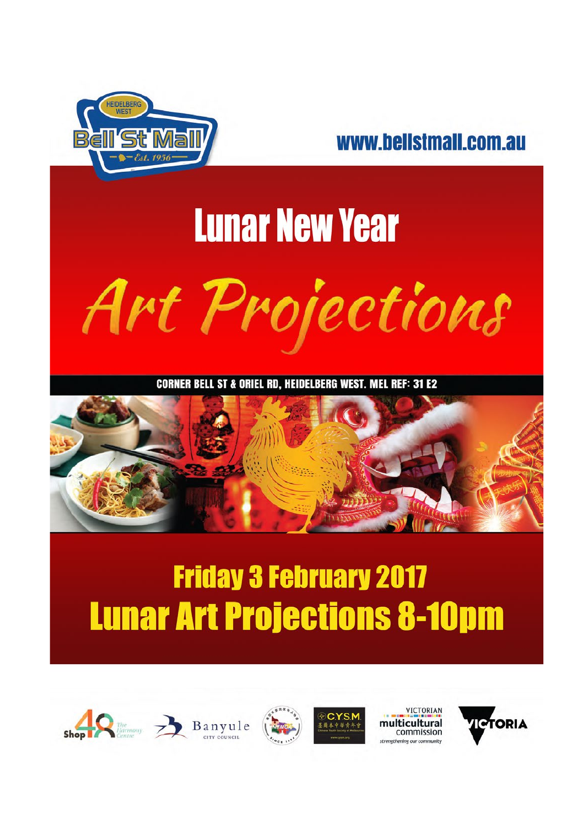



# **Lunar New Year** Art Projections

**CORNER BELL ST & ORIEL RD. HEIDELBERG WEST. MEL REF: 31 E2** 



#### **Friday 3 February 2017 Lunar Art Projections 8-10pm**











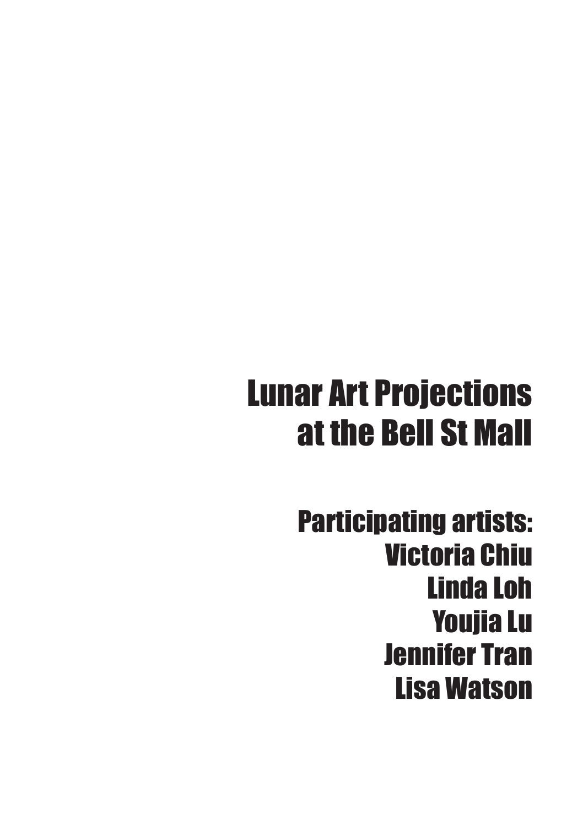#### Lunar Art Projections at the Bell St Mall

Participating artists: Victoria Chiu Linda Loh Youjia Lu Jennifer Tran Lisa Watson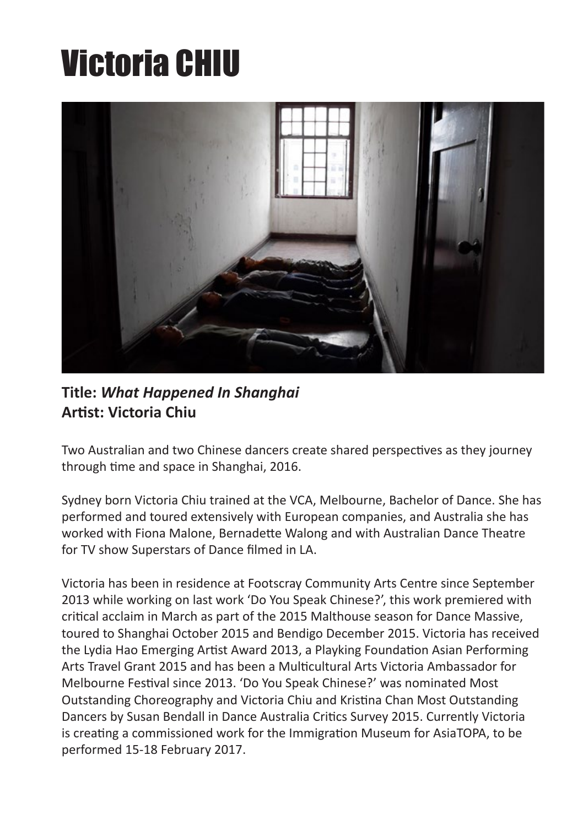### Victoria CHIU



**Title:** *What Happened In Shanghai* **Artist: Victoria Chiu** 

Two Australian and two Chinese dancers create shared perspectives as they journey through time and space in Shanghai, 2016.

Sydney born Victoria Chiu trained at the VCA, Melbourne, Bachelor of Dance. She has performed and toured extensively with European companies, and Australia she has worked with Fiona Malone, Bernadette Walong and with Australian Dance Theatre for TV show Superstars of Dance filmed in LA.

Victoria has been in residence at Footscray Community Arts Centre since September 2013 while working on last work 'Do You Speak Chinese?', this work premiered with critical acclaim in March as part of the 2015 Malthouse season for Dance Massive, toured to Shanghai October 2015 and Bendigo December 2015. Victoria has received the Lydia Hao Emerging Artist Award 2013, a Playking Foundation Asian Performing Arts Travel Grant 2015 and has been a Multicultural Arts Victoria Ambassador for Melbourne Festival since 2013. 'Do You Speak Chinese?' was nominated Most Outstanding Choreography and Victoria Chiu and Kristina Chan Most Outstanding Dancers by Susan Bendall in Dance Australia Critics Survey 2015. Currently Victoria is creating a commissioned work for the Immigration Museum for AsiaTOPA, to be performed 15-18 February 2017.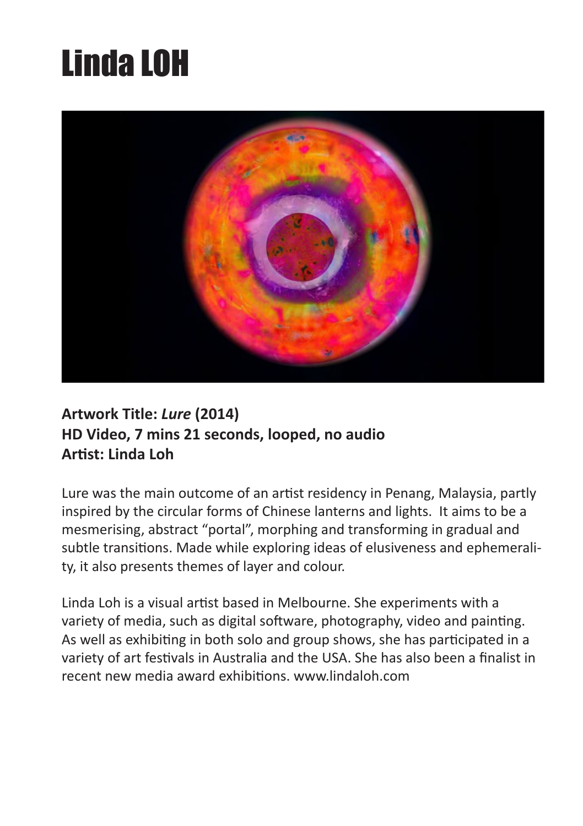# Linda LOH



#### **Artwork Title:** *Lure* **(2014) HD Video, 7 mins 21 seconds, looped, no audio Artist: Linda Loh**

Lure was the main outcome of an artist residency in Penang, Malaysia, partly inspired by the circular forms of Chinese lanterns and lights. It aims to be a mesmerising, abstract "portal", morphing and transforming in gradual and subtle transitions. Made while exploring ideas of elusiveness and ephemerality, it also presents themes of layer and colour.

Linda Loh is a visual artist based in Melbourne. She experiments with a variety of media, such as digital software, photography, video and painting. As well as exhibiting in both solo and group shows, she has participated in a variety of art festivals in Australia and the USA. She has also been a finalist in recent new media award exhibitions. www.lindaloh.com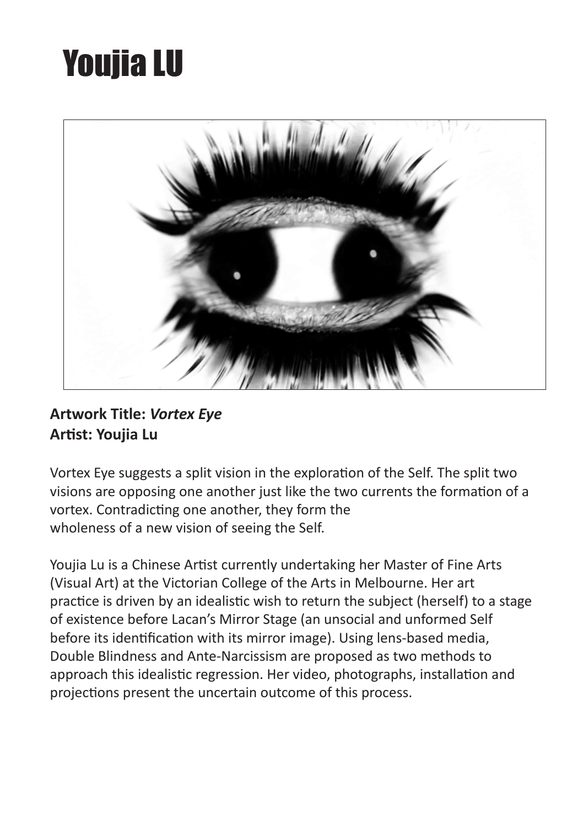## Youjia LU



#### **Artwork Title:** *Vortex Eye* **Artist: Youjia Lu**

Vortex Eye suggests a split vision in the exploration of the Self. The split two visions are opposing one another just like the two currents the formation of a vortex. Contradicting one another, they form the wholeness of a new vision of seeing the Self.

Youjia Lu is a Chinese Artist currently undertaking her Master of Fine Arts (Visual Art) at the Victorian College of the Arts in Melbourne. Her art practice is driven by an idealistic wish to return the subject (herself) to a stage of existence before Lacan's Mirror Stage (an unsocial and unformed Self before its identification with its mirror image). Using lens-based media, Double Blindness and Ante-Narcissism are proposed as two methods to approach this idealistic regression. Her video, photographs, installation and projections present the uncertain outcome of this process.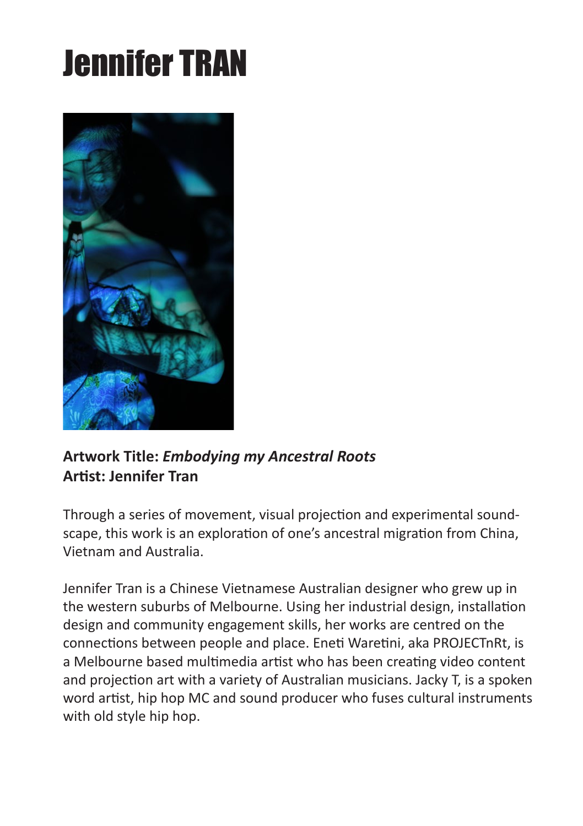# Jennifer TRAN



#### **Artwork Title:** *Embodying my Ancestral Roots* **Artist: Jennifer Tran**

Through a series of movement, visual projection and experimental soundscape, this work is an exploration of one's ancestral migration from China, Vietnam and Australia.

Jennifer Tran is a Chinese Vietnamese Australian designer who grew up in the western suburbs of Melbourne. Using her industrial design, installation design and community engagement skills, her works are centred on the connections between people and place. Eneti Waretini, aka PROJECTnRt, is a Melbourne based multimedia artist who has been creating video content and projection art with a variety of Australian musicians. Jacky T, is a spoken word artist, hip hop MC and sound producer who fuses cultural instruments with old style hip hop.